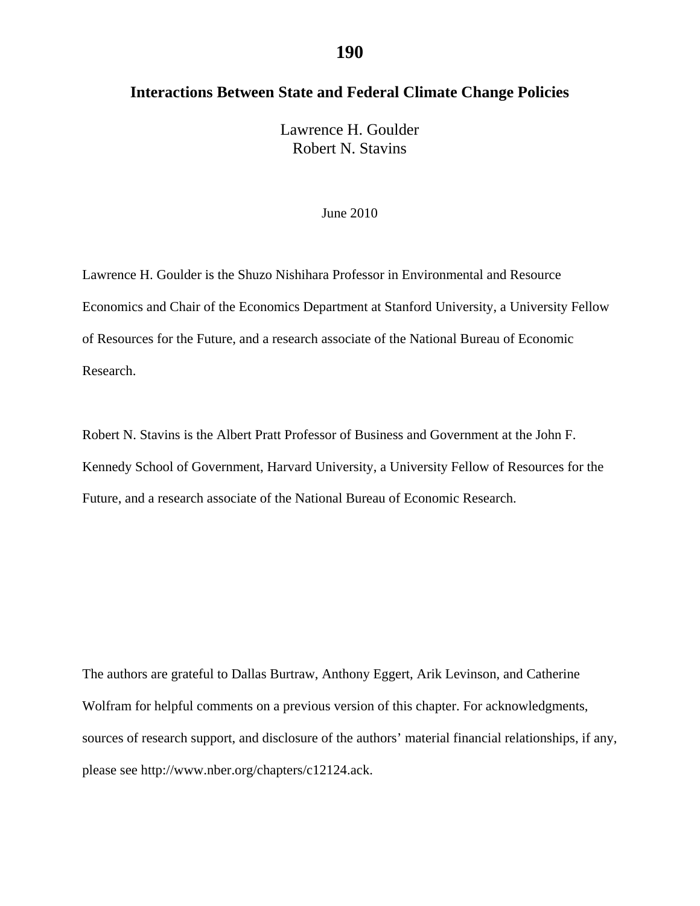# **Interactions Between State and Federal Climate Change Policies**

Lawrence H. Goulder Robert N. Stavins

#### June 2010

Lawrence H. Goulder is the Shuzo Nishihara Professor in Environmental and Resource Economics and Chair of the Economics Department at Stanford University, a University Fellow of Resources for the Future, and a research associate of the National Bureau of Economic Research.

Robert N. Stavins is the Albert Pratt Professor of Business and Government at the John F. Kennedy School of Government, Harvard University, a University Fellow of Resources for the Future, and a research associate of the National Bureau of Economic Research.

The authors are grateful to Dallas Burtraw, Anthony Eggert, Arik Levinson, and Catherine Wolfram for helpful comments on a previous version of this chapter. For acknowledgments, sources of research support, and disclosure of the authors' material financial relationships, if any, please see http://www.nber.org/chapters/c12124.ack.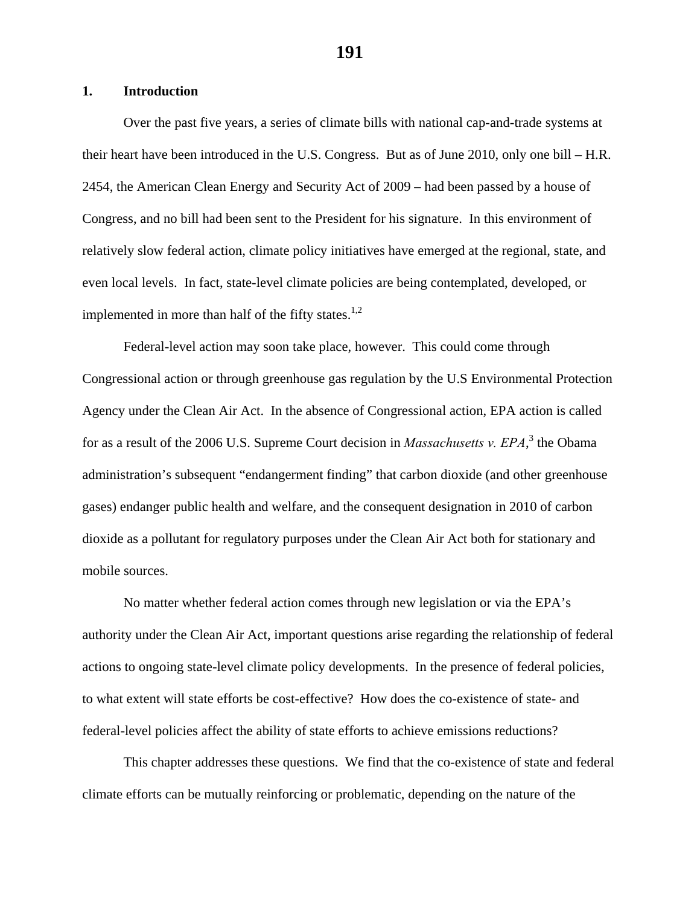## **1. Introduction**

Over the past five years, a series of climate bills with national cap-and-trade systems at their heart have been introduced in the U.S. Congress. But as of June 2010, only one bill – H.R. 2454, the American Clean Energy and Security Act of 2009 – had been passed by a house of Congress, and no bill had been sent to the President for his signature. In this environment of relatively slow federal action, climate policy initiatives have emerged at the regional, state, and even local levels. In fact, state-level climate policies are being contemplated, developed, or implemented in more than half of the fifty states.<sup>1,2</sup>

Federal-level action may soon take place, however. This could come through Congressional action or through greenhouse gas regulation by the U.S Environmental Protection Agency under the Clean Air Act. In the absence of Congressional action, EPA action is called for as a result of the 2006 U.S. Supreme Court decision in *Massachusetts v. EPA*,<sup>3</sup> the Obama administration's subsequent "endangerment finding" that carbon dioxide (and other greenhouse gases) endanger public health and welfare, and the consequent designation in 2010 of carbon dioxide as a pollutant for regulatory purposes under the Clean Air Act both for stationary and mobile sources.

No matter whether federal action comes through new legislation or via the EPA's authority under the Clean Air Act, important questions arise regarding the relationship of federal actions to ongoing state-level climate policy developments. In the presence of federal policies, to what extent will state efforts be cost-effective? How does the co-existence of state- and federal-level policies affect the ability of state efforts to achieve emissions reductions?

This chapter addresses these questions. We find that the co-existence of state and federal climate efforts can be mutually reinforcing or problematic, depending on the nature of the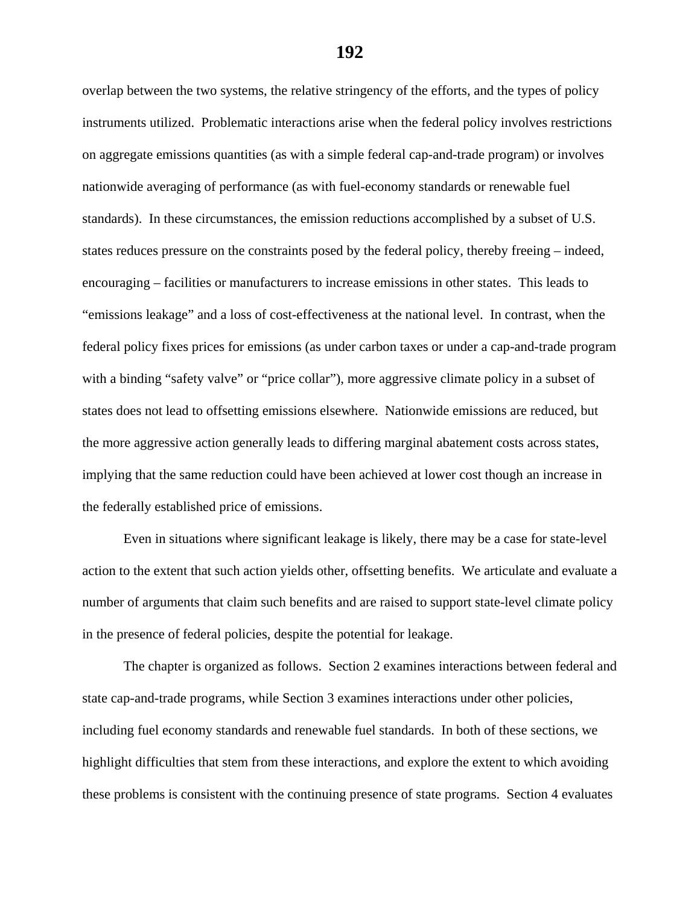overlap between the two systems, the relative stringency of the efforts, and the types of policy instruments utilized. Problematic interactions arise when the federal policy involves restrictions on aggregate emissions quantities (as with a simple federal cap-and-trade program) or involves nationwide averaging of performance (as with fuel-economy standards or renewable fuel standards). In these circumstances, the emission reductions accomplished by a subset of U.S. states reduces pressure on the constraints posed by the federal policy, thereby freeing – indeed, encouraging – facilities or manufacturers to increase emissions in other states. This leads to "emissions leakage" and a loss of cost-effectiveness at the national level. In contrast, when the federal policy fixes prices for emissions (as under carbon taxes or under a cap-and-trade program with a binding "safety valve" or "price collar"), more aggressive climate policy in a subset of states does not lead to offsetting emissions elsewhere. Nationwide emissions are reduced, but the more aggressive action generally leads to differing marginal abatement costs across states, implying that the same reduction could have been achieved at lower cost though an increase in the federally established price of emissions.

Even in situations where significant leakage is likely, there may be a case for state-level action to the extent that such action yields other, offsetting benefits. We articulate and evaluate a number of arguments that claim such benefits and are raised to support state-level climate policy in the presence of federal policies, despite the potential for leakage.

The chapter is organized as follows. Section 2 examines interactions between federal and state cap-and-trade programs, while Section 3 examines interactions under other policies, including fuel economy standards and renewable fuel standards. In both of these sections, we highlight difficulties that stem from these interactions, and explore the extent to which avoiding these problems is consistent with the continuing presence of state programs. Section 4 evaluates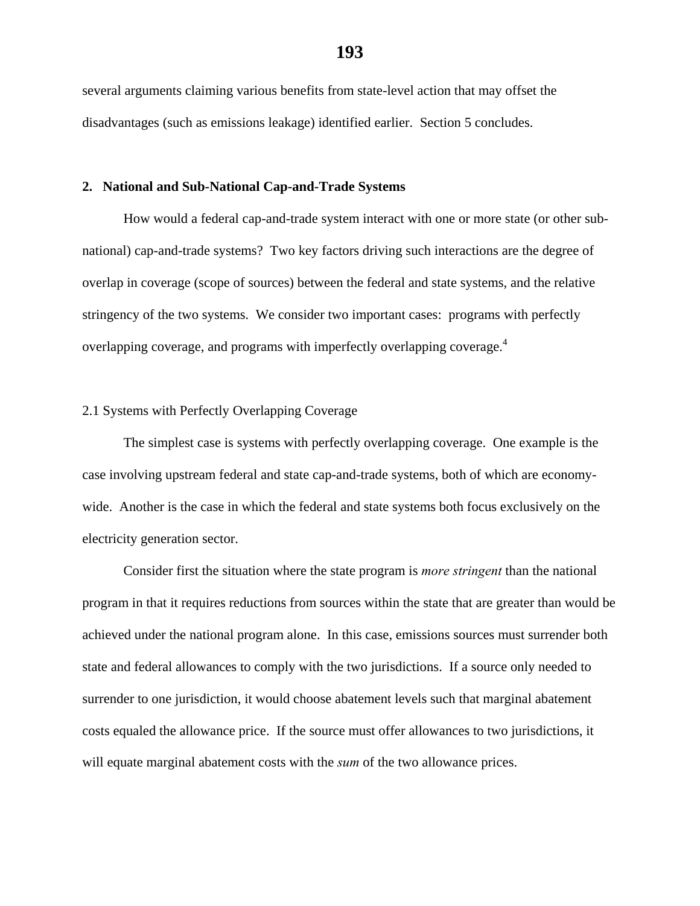several arguments claiming various benefits from state-level action that may offset the disadvantages (such as emissions leakage) identified earlier. Section 5 concludes.

#### **2. National and Sub-National Cap-and-Trade Systems**

 How would a federal cap-and-trade system interact with one or more state (or other subnational) cap-and-trade systems? Two key factors driving such interactions are the degree of overlap in coverage (scope of sources) between the federal and state systems, and the relative stringency of the two systems. We consider two important cases: programs with perfectly overlapping coverage, and programs with imperfectly overlapping coverage.<sup>4</sup>

# 2.1 Systems with Perfectly Overlapping Coverage

 The simplest case is systems with perfectly overlapping coverage. One example is the case involving upstream federal and state cap-and-trade systems, both of which are economywide. Another is the case in which the federal and state systems both focus exclusively on the electricity generation sector.

 Consider first the situation where the state program is *more stringent* than the national program in that it requires reductions from sources within the state that are greater than would be achieved under the national program alone. In this case, emissions sources must surrender both state and federal allowances to comply with the two jurisdictions. If a source only needed to surrender to one jurisdiction, it would choose abatement levels such that marginal abatement costs equaled the allowance price. If the source must offer allowances to two jurisdictions, it will equate marginal abatement costs with the *sum* of the two allowance prices.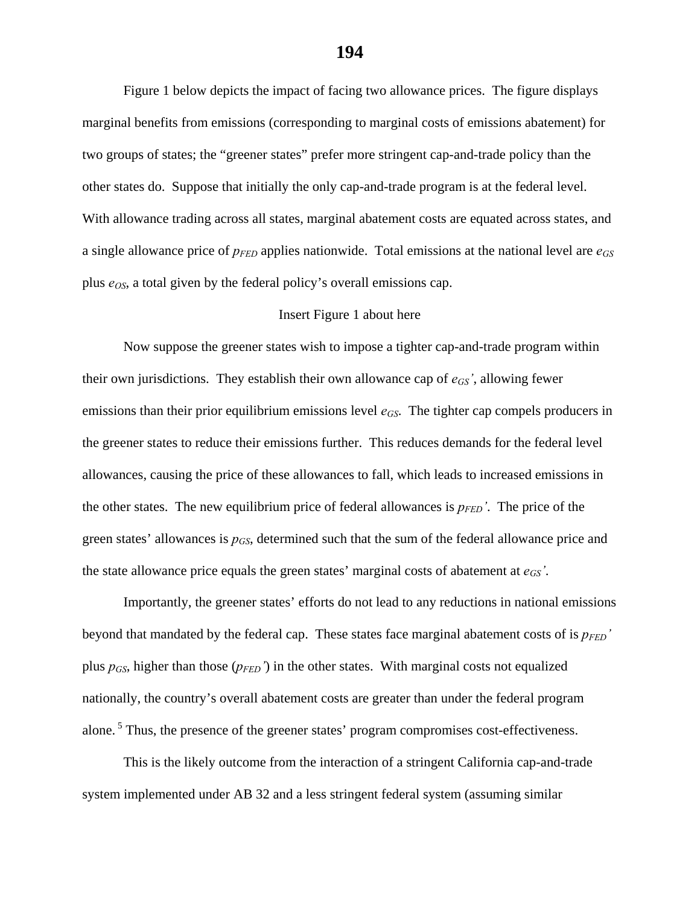Figure 1 below depicts the impact of facing two allowance prices. The figure displays marginal benefits from emissions (corresponding to marginal costs of emissions abatement) for two groups of states; the "greener states" prefer more stringent cap-and-trade policy than the other states do. Suppose that initially the only cap-and-trade program is at the federal level. With allowance trading across all states, marginal abatement costs are equated across states, and a single allowance price of *pFED* applies nationwide. Total emissions at the national level are *eGS* plus  $e<sub>OS</sub>$ , a total given by the federal policy's overall emissions cap.

## Insert Figure 1 about here

Now suppose the greener states wish to impose a tighter cap-and-trade program within their own jurisdictions. They establish their own allowance cap of *eGS'*, allowing fewer emissions than their prior equilibrium emissions level  $e_{GS}$ . The tighter cap compels producers in the greener states to reduce their emissions further. This reduces demands for the federal level allowances, causing the price of these allowances to fall, which leads to increased emissions in the other states. The new equilibrium price of federal allowances is  $p_{FED}$ . The price of the green states' allowances is  $p_{GS}$ , determined such that the sum of the federal allowance price and the state allowance price equals the green states' marginal costs of abatement at  $e_{GS}$ '.

 Importantly, the greener states' efforts do not lead to any reductions in national emissions beyond that mandated by the federal cap. These states face marginal abatement costs of is  $p_{FED}$ ' plus  $p_{GS}$ , higher than those  $(p_{FED})$  in the other states. With marginal costs not equalized nationally, the country's overall abatement costs are greater than under the federal program alone. 5 Thus, the presence of the greener states' program compromises cost-effectiveness.

 This is the likely outcome from the interaction of a stringent California cap-and-trade system implemented under AB 32 and a less stringent federal system (assuming similar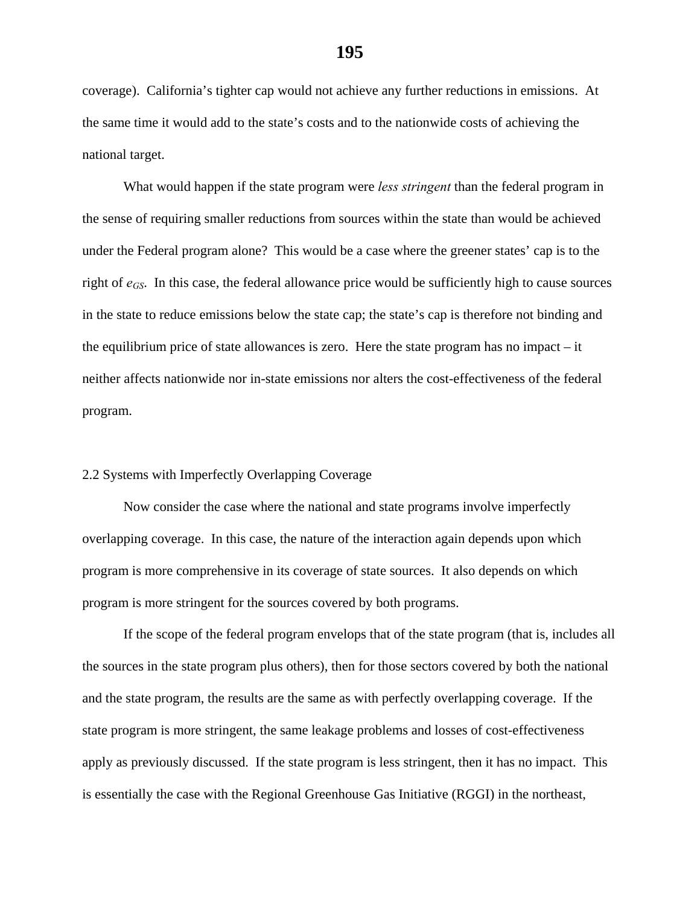coverage). California's tighter cap would not achieve any further reductions in emissions. At the same time it would add to the state's costs and to the nationwide costs of achieving the national target.

 What would happen if the state program were *less stringent* than the federal program in the sense of requiring smaller reductions from sources within the state than would be achieved under the Federal program alone? This would be a case where the greener states' cap is to the right of *eGS*. In this case, the federal allowance price would be sufficiently high to cause sources in the state to reduce emissions below the state cap; the state's cap is therefore not binding and the equilibrium price of state allowances is zero. Here the state program has no impact – it neither affects nationwide nor in-state emissions nor alters the cost-effectiveness of the federal program.

### 2.2 Systems with Imperfectly Overlapping Coverage

 Now consider the case where the national and state programs involve imperfectly overlapping coverage. In this case, the nature of the interaction again depends upon which program is more comprehensive in its coverage of state sources. It also depends on which program is more stringent for the sources covered by both programs.

If the scope of the federal program envelops that of the state program (that is, includes all the sources in the state program plus others), then for those sectors covered by both the national and the state program, the results are the same as with perfectly overlapping coverage. If the state program is more stringent, the same leakage problems and losses of cost-effectiveness apply as previously discussed. If the state program is less stringent, then it has no impact. This is essentially the case with the Regional Greenhouse Gas Initiative (RGGI) in the northeast,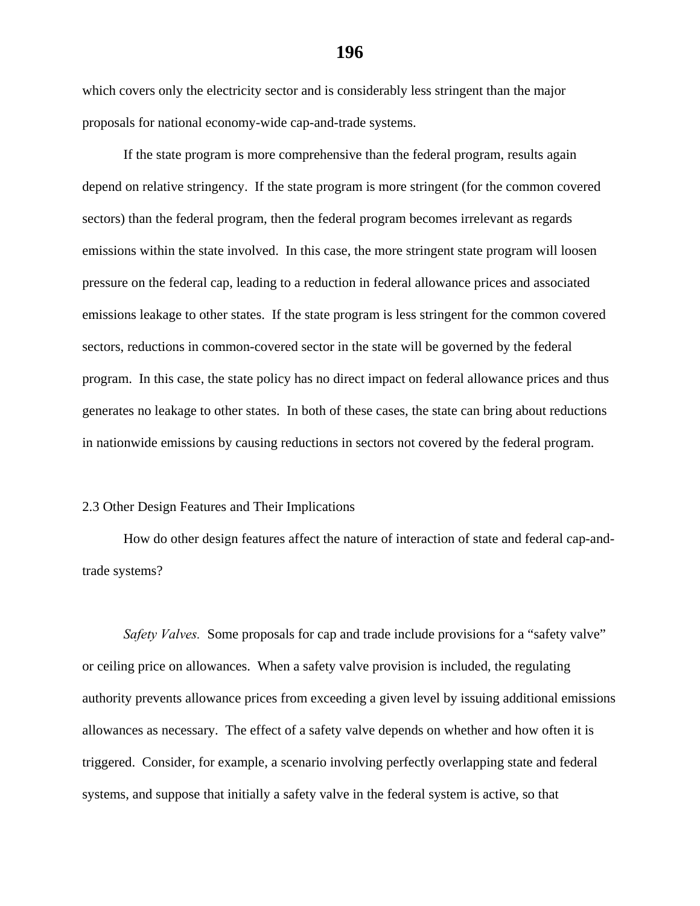which covers only the electricity sector and is considerably less stringent than the major proposals for national economy-wide cap-and-trade systems.

If the state program is more comprehensive than the federal program, results again depend on relative stringency. If the state program is more stringent (for the common covered sectors) than the federal program, then the federal program becomes irrelevant as regards emissions within the state involved. In this case, the more stringent state program will loosen pressure on the federal cap, leading to a reduction in federal allowance prices and associated emissions leakage to other states. If the state program is less stringent for the common covered sectors, reductions in common-covered sector in the state will be governed by the federal program. In this case, the state policy has no direct impact on federal allowance prices and thus generates no leakage to other states. In both of these cases, the state can bring about reductions in nationwide emissions by causing reductions in sectors not covered by the federal program.

### 2.3 Other Design Features and Their Implications

 How do other design features affect the nature of interaction of state and federal cap-andtrade systems?

*Safety Valves.* Some proposals for cap and trade include provisions for a "safety valve" or ceiling price on allowances. When a safety valve provision is included, the regulating authority prevents allowance prices from exceeding a given level by issuing additional emissions allowances as necessary. The effect of a safety valve depends on whether and how often it is triggered. Consider, for example, a scenario involving perfectly overlapping state and federal systems, and suppose that initially a safety valve in the federal system is active, so that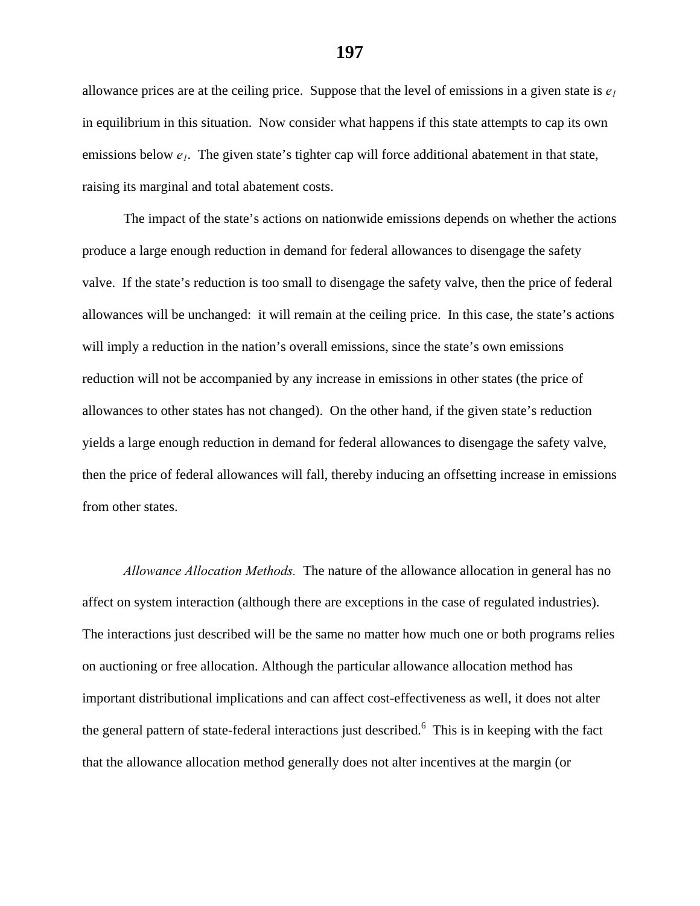allowance prices are at the ceiling price. Suppose that the level of emissions in a given state is  $e_1$ in equilibrium in this situation. Now consider what happens if this state attempts to cap its own emissions below  $e_1$ . The given state's tighter cap will force additional abatement in that state, raising its marginal and total abatement costs.

The impact of the state's actions on nationwide emissions depends on whether the actions produce a large enough reduction in demand for federal allowances to disengage the safety valve. If the state's reduction is too small to disengage the safety valve, then the price of federal allowances will be unchanged: it will remain at the ceiling price. In this case, the state's actions will imply a reduction in the nation's overall emissions, since the state's own emissions reduction will not be accompanied by any increase in emissions in other states (the price of allowances to other states has not changed). On the other hand, if the given state's reduction yields a large enough reduction in demand for federal allowances to disengage the safety valve, then the price of federal allowances will fall, thereby inducing an offsetting increase in emissions from other states.

*Allowance Allocation Methods.* The nature of the allowance allocation in general has no affect on system interaction (although there are exceptions in the case of regulated industries). The interactions just described will be the same no matter how much one or both programs relies on auctioning or free allocation. Although the particular allowance allocation method has important distributional implications and can affect cost-effectiveness as well, it does not alter the general pattern of state-federal interactions just described.<sup>6</sup> This is in keeping with the fact that the allowance allocation method generally does not alter incentives at the margin (or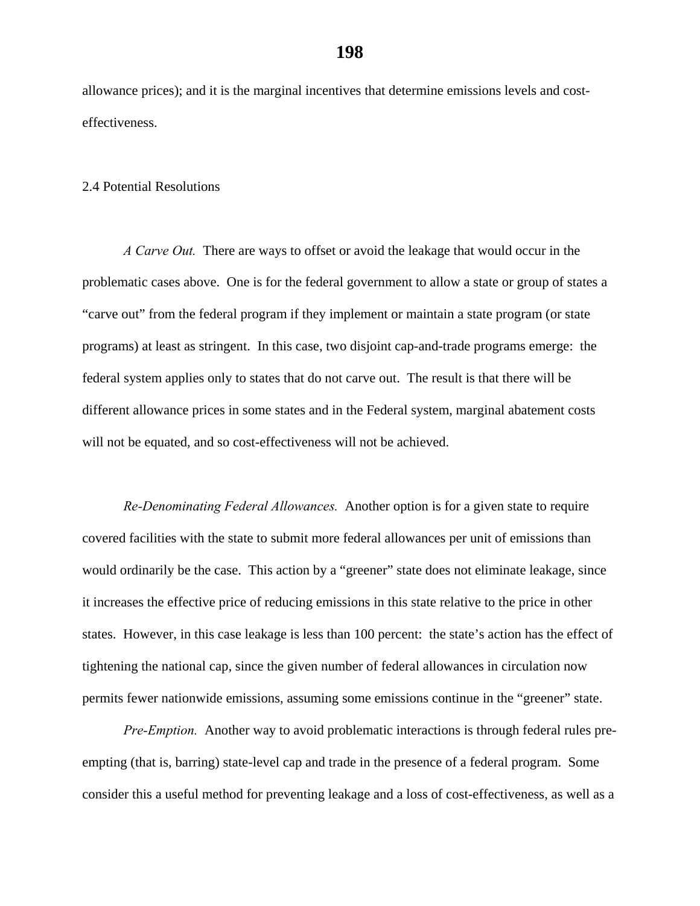allowance prices); and it is the marginal incentives that determine emissions levels and costeffectiveness.

#### 2.4 Potential Resolutions

*A Carve Out.* There are ways to offset or avoid the leakage that would occur in the problematic cases above. One is for the federal government to allow a state or group of states a "carve out" from the federal program if they implement or maintain a state program (or state programs) at least as stringent. In this case, two disjoint cap-and-trade programs emerge: the federal system applies only to states that do not carve out. The result is that there will be different allowance prices in some states and in the Federal system, marginal abatement costs will not be equated, and so cost-effectiveness will not be achieved.

*Re-Denominating Federal Allowances.* Another option is for a given state to require covered facilities with the state to submit more federal allowances per unit of emissions than would ordinarily be the case. This action by a "greener" state does not eliminate leakage, since it increases the effective price of reducing emissions in this state relative to the price in other states. However, in this case leakage is less than 100 percent: the state's action has the effect of tightening the national cap, since the given number of federal allowances in circulation now permits fewer nationwide emissions, assuming some emissions continue in the "greener" state.

*Pre-Emption.* Another way to avoid problematic interactions is through federal rules preempting (that is, barring) state-level cap and trade in the presence of a federal program. Some consider this a useful method for preventing leakage and a loss of cost-effectiveness, as well as a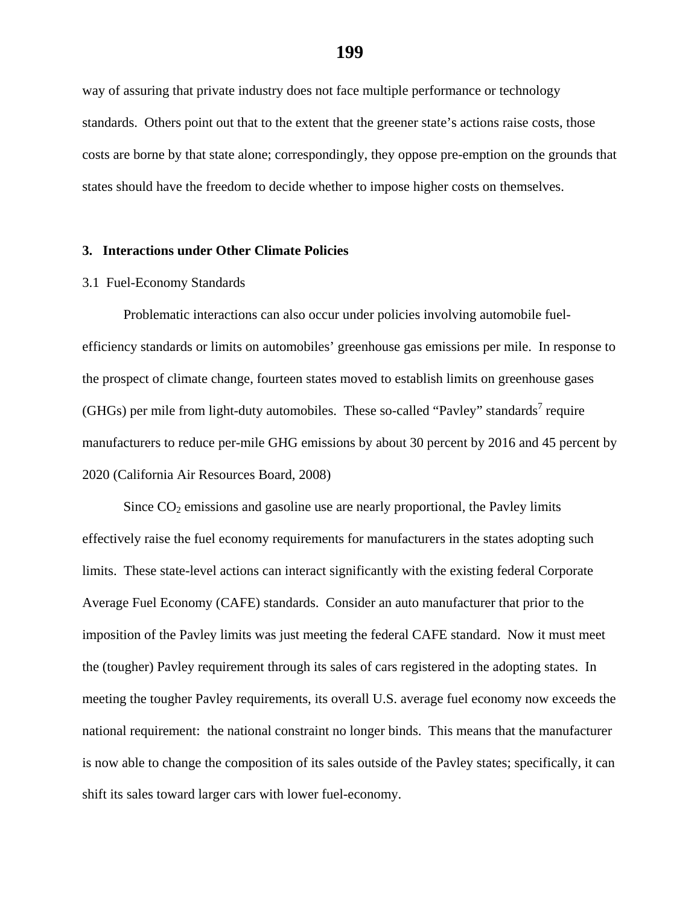way of assuring that private industry does not face multiple performance or technology standards. Others point out that to the extent that the greener state's actions raise costs, those costs are borne by that state alone; correspondingly, they oppose pre-emption on the grounds that states should have the freedom to decide whether to impose higher costs on themselves.

#### **3. Interactions under Other Climate Policies**

#### 3.1 Fuel-Economy Standards

 Problematic interactions can also occur under policies involving automobile fuelefficiency standards or limits on automobiles' greenhouse gas emissions per mile. In response to the prospect of climate change, fourteen states moved to establish limits on greenhouse gases (GHGs) per mile from light-duty automobiles. These so-called "Pavley" standards<sup>7</sup> require manufacturers to reduce per-mile GHG emissions by about 30 percent by 2016 and 45 percent by 2020 (California Air Resources Board, 2008)

Since  $CO<sub>2</sub>$  emissions and gasoline use are nearly proportional, the Pavley limits effectively raise the fuel economy requirements for manufacturers in the states adopting such limits. These state-level actions can interact significantly with the existing federal Corporate Average Fuel Economy (CAFE) standards. Consider an auto manufacturer that prior to the imposition of the Pavley limits was just meeting the federal CAFE standard. Now it must meet the (tougher) Pavley requirement through its sales of cars registered in the adopting states. In meeting the tougher Pavley requirements, its overall U.S. average fuel economy now exceeds the national requirement: the national constraint no longer binds. This means that the manufacturer is now able to change the composition of its sales outside of the Pavley states; specifically, it can shift its sales toward larger cars with lower fuel-economy.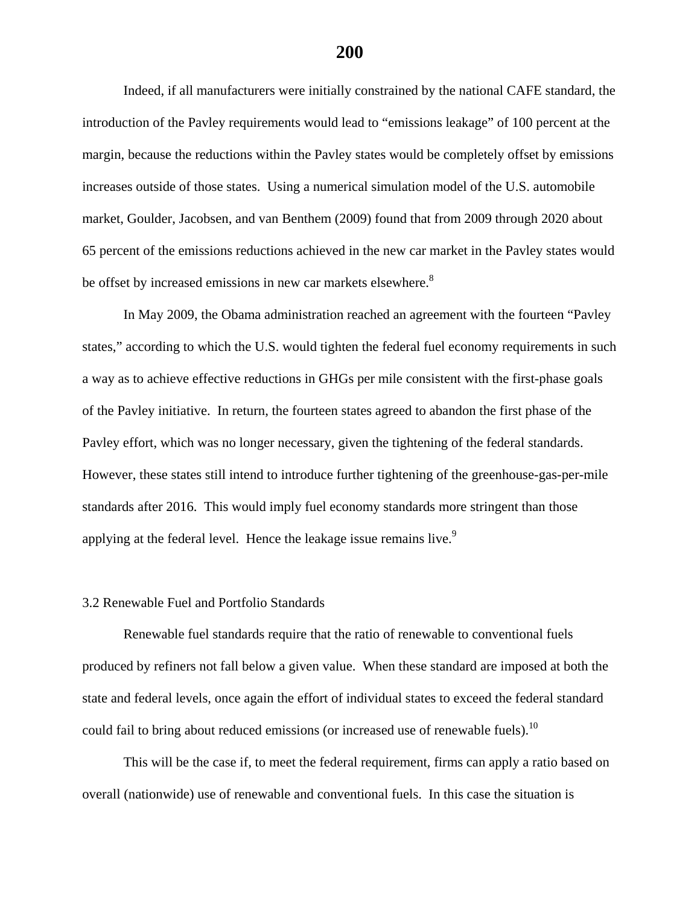Indeed, if all manufacturers were initially constrained by the national CAFE standard, the introduction of the Pavley requirements would lead to "emissions leakage" of 100 percent at the margin, because the reductions within the Pavley states would be completely offset by emissions increases outside of those states. Using a numerical simulation model of the U.S. automobile market, Goulder, Jacobsen, and van Benthem (2009) found that from 2009 through 2020 about 65 percent of the emissions reductions achieved in the new car market in the Pavley states would be offset by increased emissions in new car markets elsewhere.<sup>8</sup>

In May 2009, the Obama administration reached an agreement with the fourteen "Pavley states," according to which the U.S. would tighten the federal fuel economy requirements in such a way as to achieve effective reductions in GHGs per mile consistent with the first-phase goals of the Pavley initiative. In return, the fourteen states agreed to abandon the first phase of the Pavley effort, which was no longer necessary, given the tightening of the federal standards. However, these states still intend to introduce further tightening of the greenhouse-gas-per-mile standards after 2016. This would imply fuel economy standards more stringent than those applying at the federal level. Hence the leakage issue remains live.<sup>9</sup>

#### 3.2 Renewable Fuel and Portfolio Standards

Renewable fuel standards require that the ratio of renewable to conventional fuels produced by refiners not fall below a given value. When these standard are imposed at both the state and federal levels, once again the effort of individual states to exceed the federal standard could fail to bring about reduced emissions (or increased use of renewable fuels).<sup>10</sup>

This will be the case if, to meet the federal requirement, firms can apply a ratio based on overall (nationwide) use of renewable and conventional fuels. In this case the situation is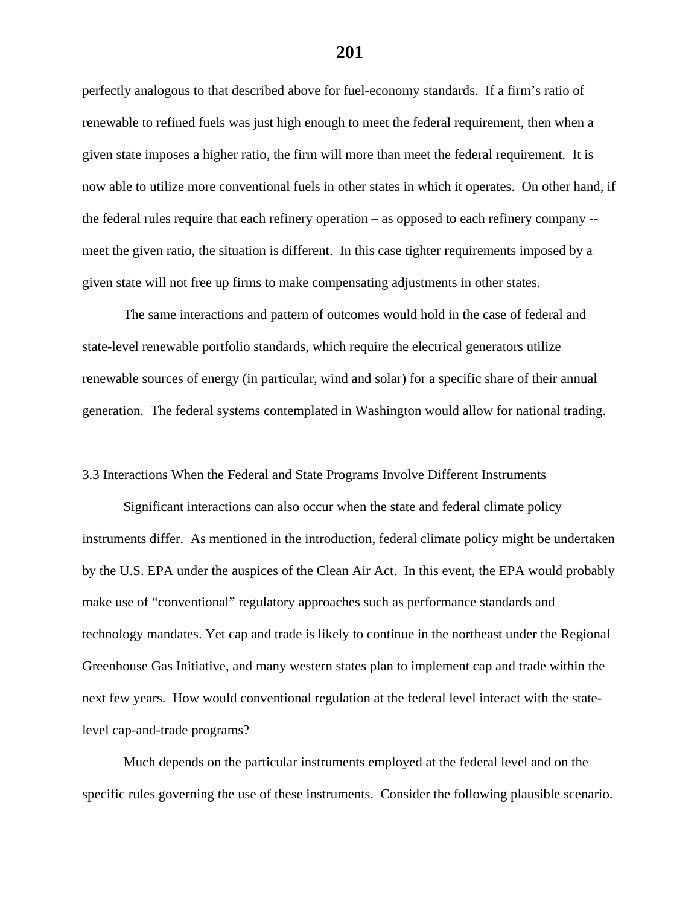perfectly analogous to that described above for fuel-economy standards. If a firm's ratio of renewable to refined fuels was just high enough to meet the federal requirement, then when a given state imposes a higher ratio, the firm will more than meet the federal requirement. It is now able to utilize more conventional fuels in other states in which it operates. On other hand, if the federal rules require that each refinery operation – as opposed to each refinery company - meet the given ratio, the situation is different. In this case tighter requirements imposed by a given state will not free up firms to make compensating adjustments in other states.

The same interactions and pattern of outcomes would hold in the case of federal and state-level renewable portfolio standards, which require the electrical generators utilize renewable sources of energy (in particular, wind and solar) for a specific share of their annual generation. The federal systems contemplated in Washington would allow for national trading.

### 3.3 Interactions When the Federal and State Programs Involve Different Instruments

 Significant interactions can also occur when the state and federal climate policy instruments differ. As mentioned in the introduction, federal climate policy might be undertaken by the U.S. EPA under the auspices of the Clean Air Act. In this event, the EPA would probably make use of "conventional" regulatory approaches such as performance standards and technology mandates. Yet cap and trade is likely to continue in the northeast under the Regional Greenhouse Gas Initiative, and many western states plan to implement cap and trade within the next few years. How would conventional regulation at the federal level interact with the statelevel cap-and-trade programs?

 Much depends on the particular instruments employed at the federal level and on the specific rules governing the use of these instruments. Consider the following plausible scenario.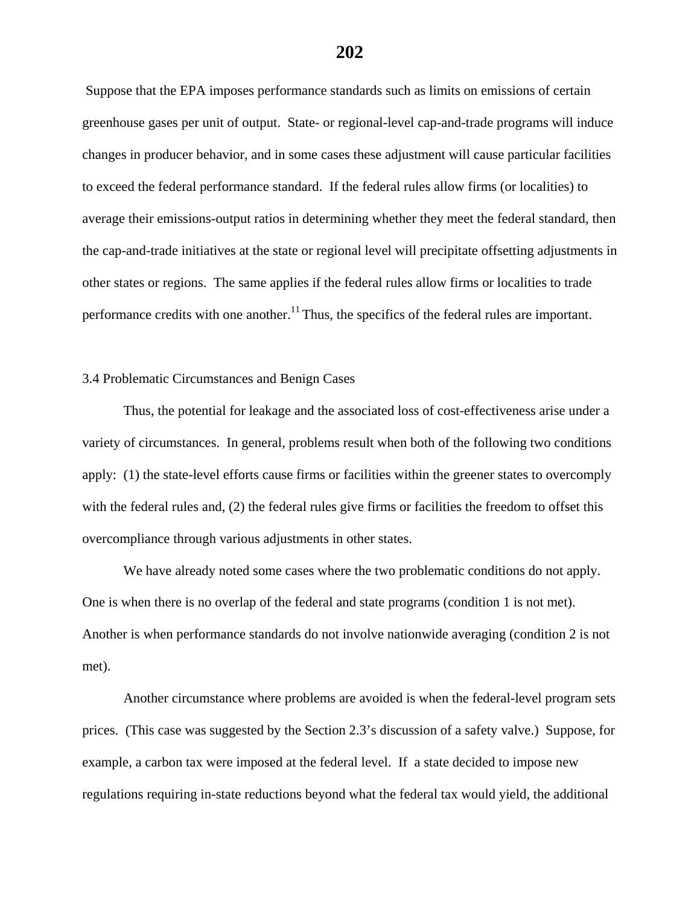Suppose that the EPA imposes performance standards such as limits on emissions of certain greenhouse gases per unit of output. State- or regional-level cap-and-trade programs will induce changes in producer behavior, and in some cases these adjustment will cause particular facilities to exceed the federal performance standard. If the federal rules allow firms (or localities) to average their emissions-output ratios in determining whether they meet the federal standard, then the cap-and-trade initiatives at the state or regional level will precipitate offsetting adjustments in other states or regions. The same applies if the federal rules allow firms or localities to trade performance credits with one another. $11$  Thus, the specifics of the federal rules are important.

## 3.4 Problematic Circumstances and Benign Cases

Thus, the potential for leakage and the associated loss of cost-effectiveness arise under a variety of circumstances. In general, problems result when both of the following two conditions apply: (1) the state-level efforts cause firms or facilities within the greener states to overcomply with the federal rules and, (2) the federal rules give firms or facilities the freedom to offset this overcompliance through various adjustments in other states.

 We have already noted some cases where the two problematic conditions do not apply. One is when there is no overlap of the federal and state programs (condition 1 is not met). Another is when performance standards do not involve nationwide averaging (condition 2 is not met).

Another circumstance where problems are avoided is when the federal-level program sets prices. (This case was suggested by the Section 2.3's discussion of a safety valve.) Suppose, for example, a carbon tax were imposed at the federal level. If a state decided to impose new regulations requiring in-state reductions beyond what the federal tax would yield, the additional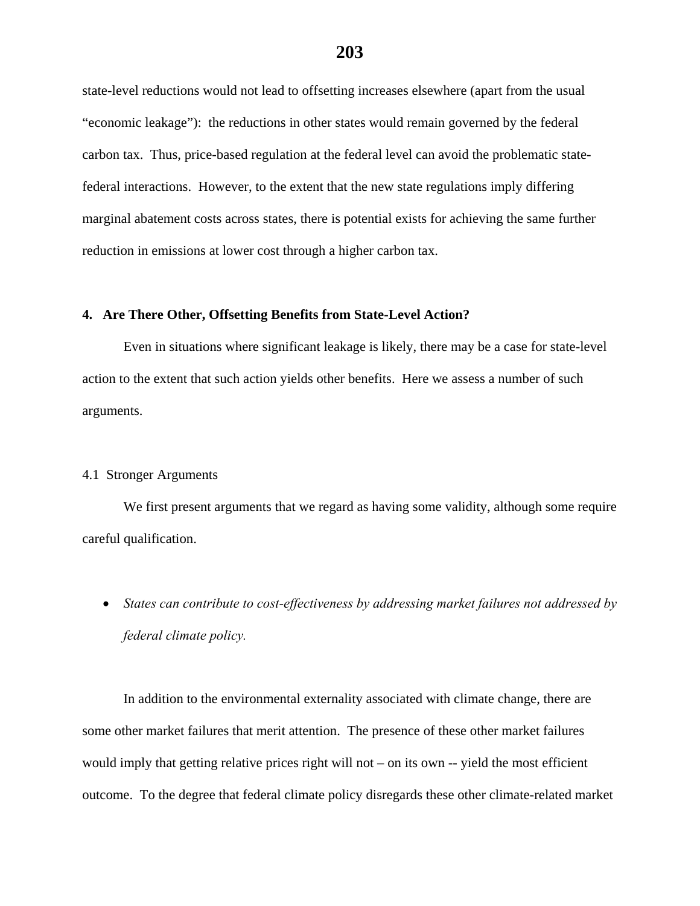state-level reductions would not lead to offsetting increases elsewhere (apart from the usual "economic leakage"): the reductions in other states would remain governed by the federal carbon tax. Thus, price-based regulation at the federal level can avoid the problematic statefederal interactions. However, to the extent that the new state regulations imply differing marginal abatement costs across states, there is potential exists for achieving the same further reduction in emissions at lower cost through a higher carbon tax.

# **4. Are There Other, Offsetting Benefits from State-Level Action?**

Even in situations where significant leakage is likely, there may be a case for state-level action to the extent that such action yields other benefits. Here we assess a number of such arguments.

# 4.1 Stronger Arguments

 We first present arguments that we regard as having some validity, although some require careful qualification.

 *States can contribute to cost-effectiveness by addressing market failures not addressed by federal climate policy.*

In addition to the environmental externality associated with climate change, there are some other market failures that merit attention. The presence of these other market failures would imply that getting relative prices right will not – on its own -- yield the most efficient outcome. To the degree that federal climate policy disregards these other climate-related market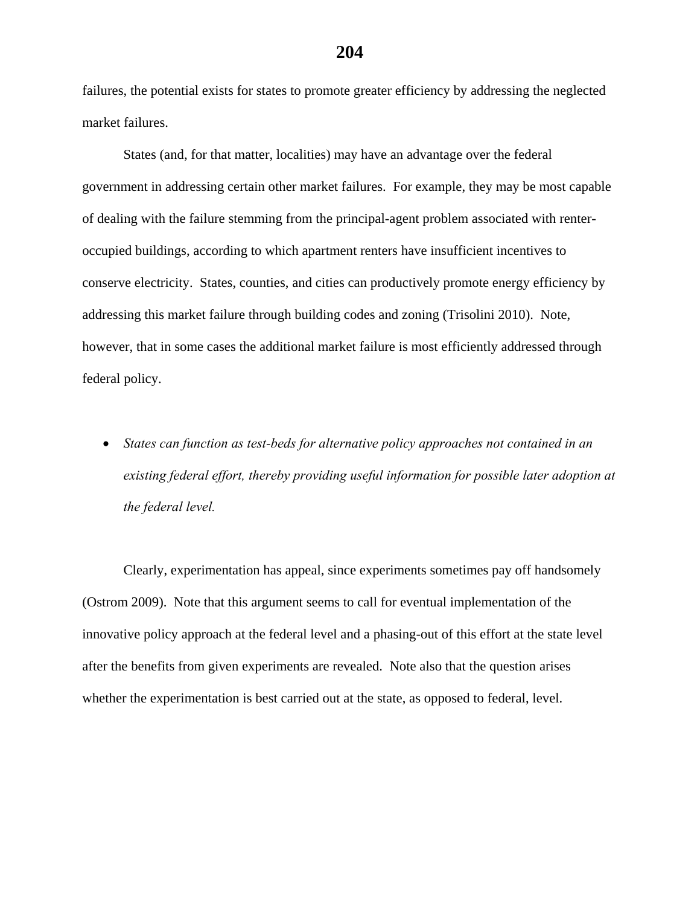failures, the potential exists for states to promote greater efficiency by addressing the neglected market failures.

States (and, for that matter, localities) may have an advantage over the federal government in addressing certain other market failures. For example, they may be most capable of dealing with the failure stemming from the principal-agent problem associated with renteroccupied buildings, according to which apartment renters have insufficient incentives to conserve electricity. States, counties, and cities can productively promote energy efficiency by addressing this market failure through building codes and zoning (Trisolini 2010). Note, however, that in some cases the additional market failure is most efficiently addressed through federal policy.

 *States can function as test-beds for alternative policy approaches not contained in an existing federal effort, thereby providing useful information for possible later adoption at the federal level.* 

Clearly, experimentation has appeal, since experiments sometimes pay off handsomely (Ostrom 2009). Note that this argument seems to call for eventual implementation of the innovative policy approach at the federal level and a phasing-out of this effort at the state level after the benefits from given experiments are revealed. Note also that the question arises whether the experimentation is best carried out at the state, as opposed to federal, level.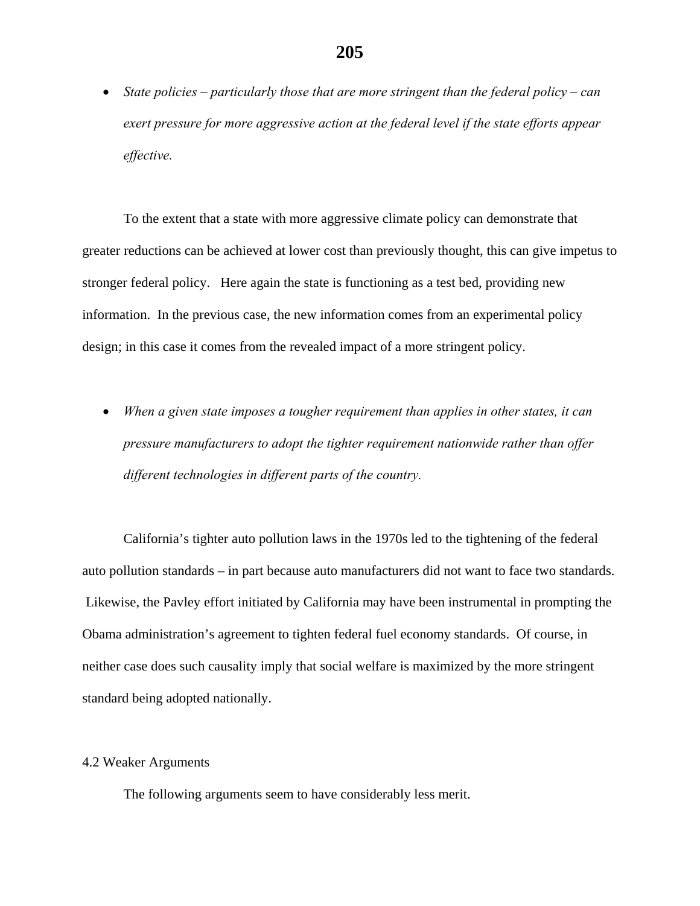*State policies – particularly those that are more stringent than the federal policy – can exert pressure for more aggressive action at the federal level if the state efforts appear effective.* 

To the extent that a state with more aggressive climate policy can demonstrate that greater reductions can be achieved at lower cost than previously thought, this can give impetus to stronger federal policy. Here again the state is functioning as a test bed, providing new information. In the previous case, the new information comes from an experimental policy design; in this case it comes from the revealed impact of a more stringent policy.

 *When a given state imposes a tougher requirement than applies in other states, it can pressure manufacturers to adopt the tighter requirement nationwide rather than offer different technologies in different parts of the country.* 

California's tighter auto pollution laws in the 1970s led to the tightening of the federal auto pollution standards – in part because auto manufacturers did not want to face two standards. Likewise, the Pavley effort initiated by California may have been instrumental in prompting the Obama administration's agreement to tighten federal fuel economy standards. Of course, in neither case does such causality imply that social welfare is maximized by the more stringent standard being adopted nationally.

### 4.2 Weaker Arguments

The following arguments seem to have considerably less merit.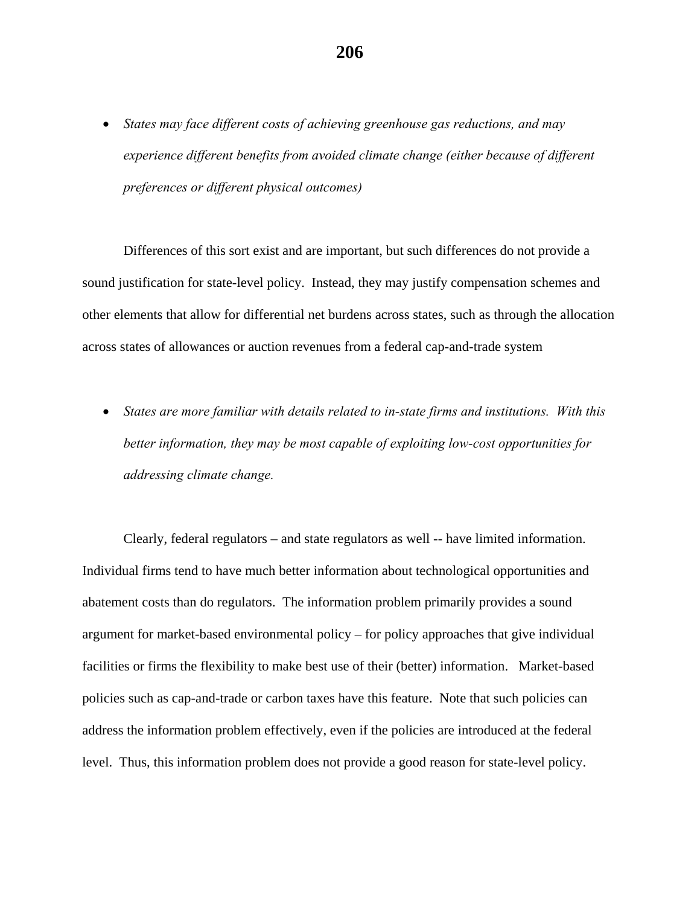*States may face different costs of achieving greenhouse gas reductions, and may experience different benefits from avoided climate change (either because of different preferences or different physical outcomes)* 

Differences of this sort exist and are important, but such differences do not provide a sound justification for state-level policy. Instead, they may justify compensation schemes and other elements that allow for differential net burdens across states, such as through the allocation across states of allowances or auction revenues from a federal cap-and-trade system

 *States are more familiar with details related to in-state firms and institutions. With this better information, they may be most capable of exploiting low-cost opportunities for addressing climate change.* 

Clearly, federal regulators – and state regulators as well -- have limited information. Individual firms tend to have much better information about technological opportunities and abatement costs than do regulators. The information problem primarily provides a sound argument for market-based environmental policy – for policy approaches that give individual facilities or firms the flexibility to make best use of their (better) information. Market-based policies such as cap-and-trade or carbon taxes have this feature. Note that such policies can address the information problem effectively, even if the policies are introduced at the federal level. Thus, this information problem does not provide a good reason for state-level policy.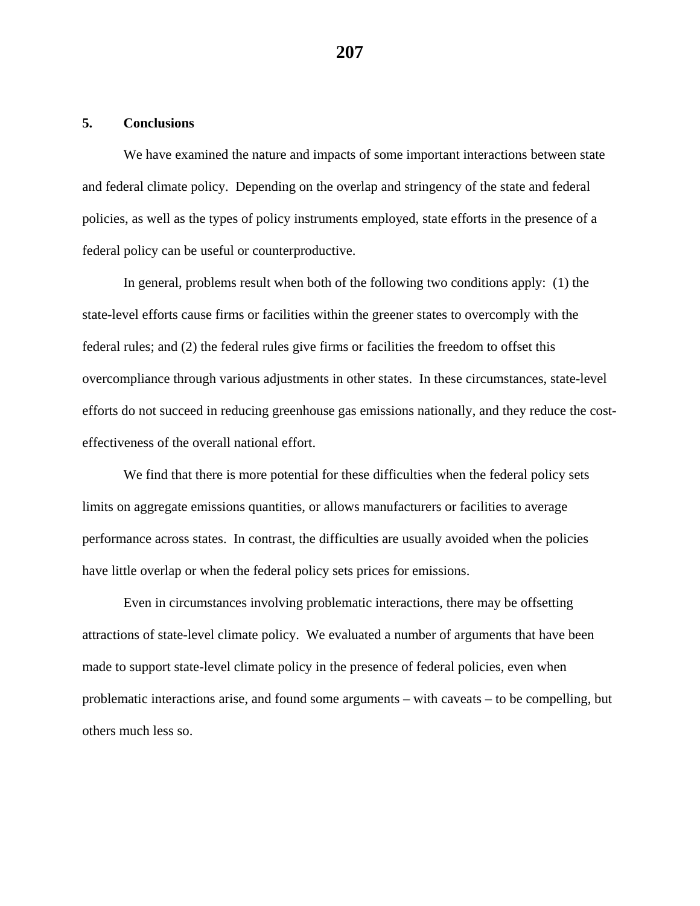### **5. Conclusions**

We have examined the nature and impacts of some important interactions between state and federal climate policy. Depending on the overlap and stringency of the state and federal policies, as well as the types of policy instruments employed, state efforts in the presence of a federal policy can be useful or counterproductive.

In general, problems result when both of the following two conditions apply: (1) the state-level efforts cause firms or facilities within the greener states to overcomply with the federal rules; and (2) the federal rules give firms or facilities the freedom to offset this overcompliance through various adjustments in other states. In these circumstances, state-level efforts do not succeed in reducing greenhouse gas emissions nationally, and they reduce the costeffectiveness of the overall national effort.

We find that there is more potential for these difficulties when the federal policy sets limits on aggregate emissions quantities, or allows manufacturers or facilities to average performance across states. In contrast, the difficulties are usually avoided when the policies have little overlap or when the federal policy sets prices for emissions.

Even in circumstances involving problematic interactions, there may be offsetting attractions of state-level climate policy. We evaluated a number of arguments that have been made to support state-level climate policy in the presence of federal policies, even when problematic interactions arise, and found some arguments – with caveats – to be compelling, but others much less so.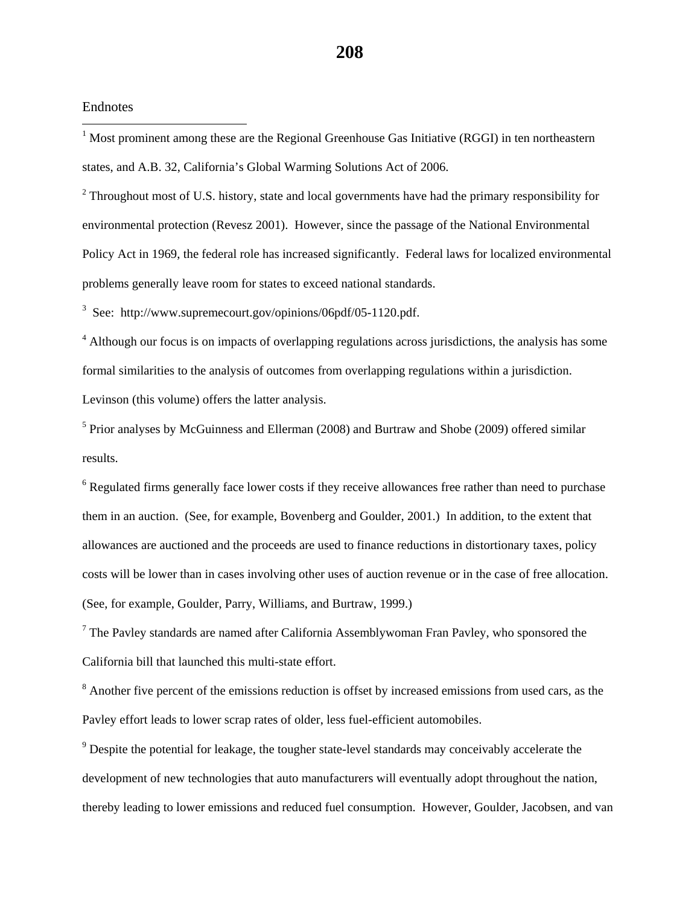#### Endnotes

 $\overline{a}$ 

 $1$  Most prominent among these are the Regional Greenhouse Gas Initiative (RGGI) in ten northeastern states, and A.B. 32, California's Global Warming Solutions Act of 2006.

 $2$  Throughout most of U.S. history, state and local governments have had the primary responsibility for environmental protection (Revesz 2001). However, since the passage of the National Environmental Policy Act in 1969, the federal role has increased significantly. Federal laws for localized environmental problems generally leave room for states to exceed national standards.

<sup>3</sup> See: http://www.supremecourt.gov/opinions/06pdf/05-1120.pdf.

<sup>4</sup> Although our focus is on impacts of overlapping regulations across jurisdictions, the analysis has some formal similarities to the analysis of outcomes from overlapping regulations within a jurisdiction. Levinson (this volume) offers the latter analysis.

<sup>5</sup> Prior analyses by McGuinness and Ellerman (2008) and Burtraw and Shobe (2009) offered similar results.

<sup>6</sup> Regulated firms generally face lower costs if they receive allowances free rather than need to purchase them in an auction. (See, for example, Bovenberg and Goulder, 2001.) In addition, to the extent that allowances are auctioned and the proceeds are used to finance reductions in distortionary taxes, policy costs will be lower than in cases involving other uses of auction revenue or in the case of free allocation. (See, for example, Goulder, Parry, Williams, and Burtraw, 1999.)

 $7$  The Pavley standards are named after California Assemblywoman Fran Pavley, who sponsored the California bill that launched this multi-state effort.

 $8$  Another five percent of the emissions reduction is offset by increased emissions from used cars, as the Pavley effort leads to lower scrap rates of older, less fuel-efficient automobiles.

 $9^9$  Despite the potential for leakage, the tougher state-level standards may conceivably accelerate the development of new technologies that auto manufacturers will eventually adopt throughout the nation, thereby leading to lower emissions and reduced fuel consumption. However, Goulder, Jacobsen, and van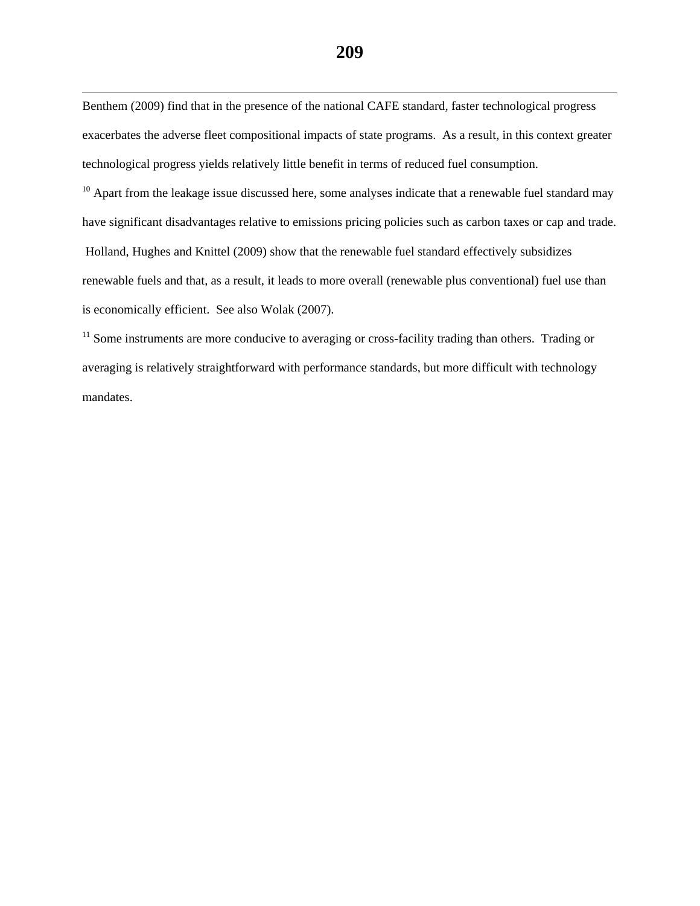Benthem (2009) find that in the presence of the national CAFE standard, faster technological progress exacerbates the adverse fleet compositional impacts of state programs. As a result, in this context greater technological progress yields relatively little benefit in terms of reduced fuel consumption.

 $\overline{a}$ 

 $10$  Apart from the leakage issue discussed here, some analyses indicate that a renewable fuel standard may have significant disadvantages relative to emissions pricing policies such as carbon taxes or cap and trade. Holland, Hughes and Knittel (2009) show that the renewable fuel standard effectively subsidizes renewable fuels and that, as a result, it leads to more overall (renewable plus conventional) fuel use than is economically efficient. See also Wolak (2007).

<sup>11</sup> Some instruments are more conducive to averaging or cross-facility trading than others. Trading or averaging is relatively straightforward with performance standards, but more difficult with technology mandates.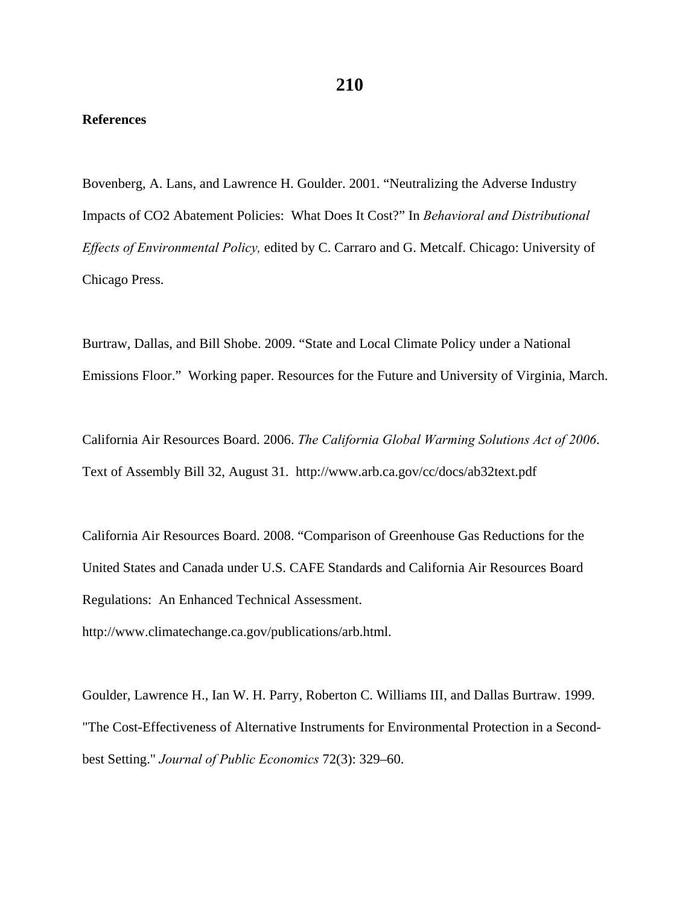# **References**

Bovenberg, A. Lans, and Lawrence H. Goulder. 2001. "Neutralizing the Adverse Industry Impacts of CO2 Abatement Policies: What Does It Cost?" In *Behavioral and Distributional Effects of Environmental Policy,* edited by C. Carraro and G. Metcalf. Chicago: University of Chicago Press.

Burtraw, Dallas, and Bill Shobe. 2009. "State and Local Climate Policy under a National Emissions Floor." Working paper. Resources for the Future and University of Virginia, March.

California Air Resources Board. 2006. *The California Global Warming Solutions Act of 2006*. Text of Assembly Bill 32, August 31. http://www.arb.ca.gov/cc/docs/ab32text.pdf

California Air Resources Board. 2008. "Comparison of Greenhouse Gas Reductions for the United States and Canada under U.S. CAFE Standards and California Air Resources Board Regulations: An Enhanced Technical Assessment.

http://www.climatechange.ca.gov/publications/arb.html.

Goulder, Lawrence H., Ian W. H. Parry, Roberton C. Williams III, and Dallas Burtraw. 1999. "The Cost-Effectiveness of Alternative Instruments for Environmental Protection in a Secondbest Setting." *Journal of Public Economics* 72(3): 329–60.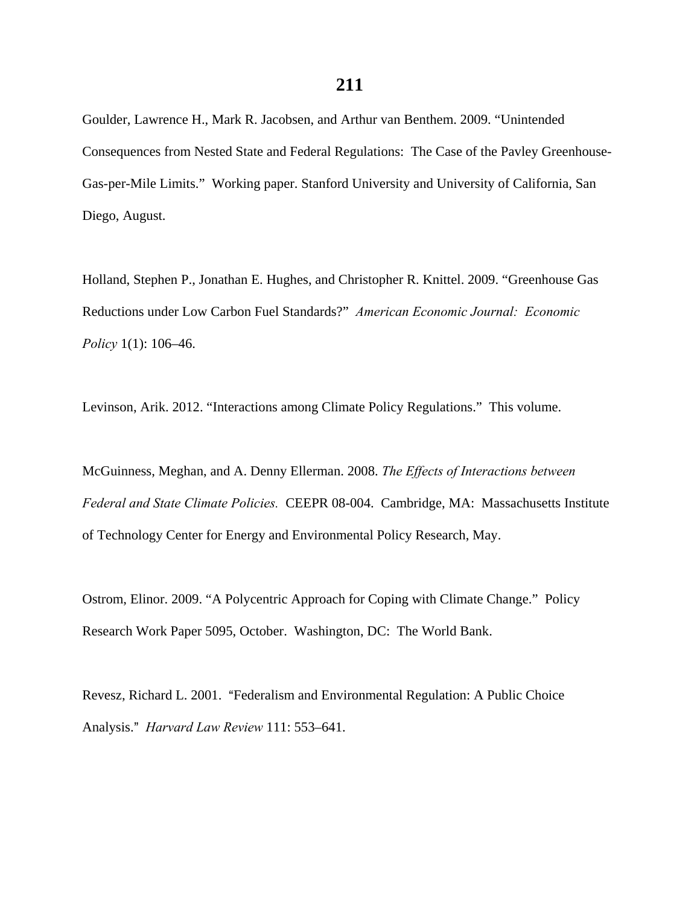Goulder, Lawrence H., Mark R. Jacobsen, and Arthur van Benthem. 2009. "Unintended Consequences from Nested State and Federal Regulations: The Case of the Pavley Greenhouse-Gas-per-Mile Limits." Working paper. Stanford University and University of California, San Diego, August.

Holland, Stephen P., Jonathan E. Hughes, and Christopher R. Knittel. 2009. "Greenhouse Gas Reductions under Low Carbon Fuel Standards?" *American Economic Journal: Economic Policy* 1(1): 106–46.

Levinson, Arik. 2012. "Interactions among Climate Policy Regulations." This volume.

McGuinness, Meghan, and A. Denny Ellerman. 2008. *The Effects of Interactions between Federal and State Climate Policies.* CEEPR 08-004. Cambridge, MA: Massachusetts Institute of Technology Center for Energy and Environmental Policy Research, May.

Ostrom, Elinor. 2009. "A Polycentric Approach for Coping with Climate Change." Policy Research Work Paper 5095, October. Washington, DC: The World Bank.

Revesz, Richard L. 2001. "Federalism and Environmental Regulation: A Public Choice Analysis.@ *Harvard Law Review* 111: 553–641.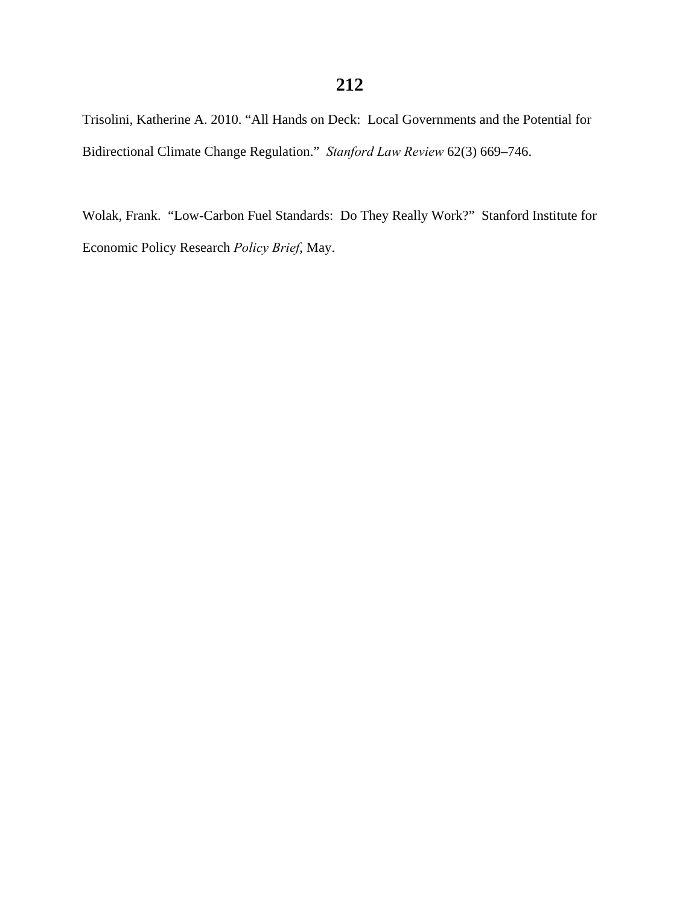# **212**

Trisolini, Katherine A. 2010. "All Hands on Deck: Local Governments and the Potential for Bidirectional Climate Change Regulation." *Stanford Law Review* 62(3) 669–746.

Wolak, Frank. "Low-Carbon Fuel Standards: Do They Really Work?" Stanford Institute for Economic Policy Research *Policy Brief*, May.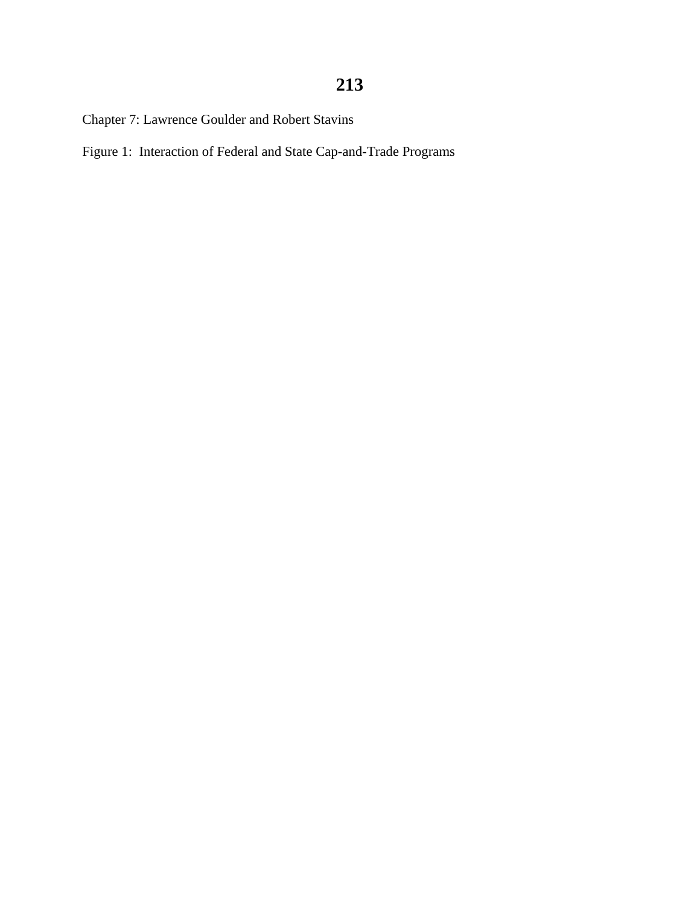Chapter 7: Lawrence Goulder and Robert Stavins

Figure 1: Interaction of Federal and State Cap-and-Trade Programs